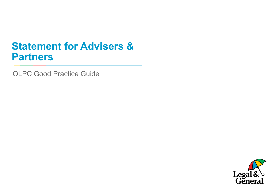## **Statement for Advisers & Partners**

OLPC Good Practice Guide